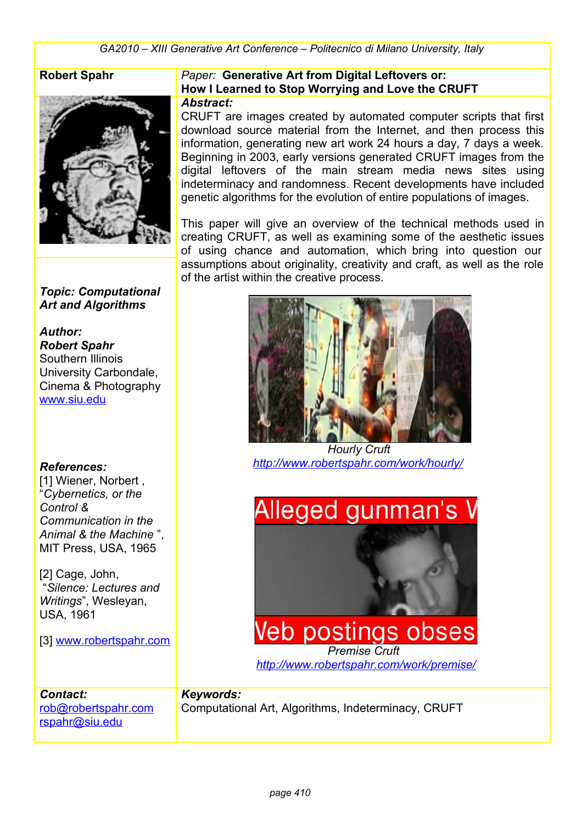

#### *Topic: Computational Art and Algorithms*

*Author: Robert Spahr* Southern Illinois University Carbondale, Cinema & Photography [www.siu.edu](http://www.siu.edu/)

#### *References:*

[1] Wiener, Norbert, "*Cybernetics, or the Control & Communication in the Animal & the Machine* ", MIT Press, USA, 1965

[2] Cage, John, "*Silence: Lectures and Writings*", Wesleyan, USA, 1961

[3] www.robertspahr.com

[rob@robertspahr.com](mailto:rob@robertspahr.com)

[rspahr@siu.edu](mailto:rspahr@siu.edu)

*Contact:*

#### **Robert Spahr** *Paper:* **Generative Art from Digital Leftovers or: How I Learned to Stop Worrying and Love the CRUFT** *Abstract:*

CRUFT are images created by automated computer scripts that first download source material from the Internet, and then process this information, generating new art work 24 hours a day, 7 days a week. Beginning in 2003, early versions generated CRUFT images from the digital leftovers of the main stream media news sites using indeterminacy and randomness. Recent developments have included genetic algorithms for the evolution of entire populations of images.

This paper will give an overview of the technical methods used in creating CRUFT, as well as examining some of the aesthetic issues of using chance and automation, which bring into question our assumptions about originality, creativity and craft, as well as the role of the artist within the creative process.



 *Hourly Cruft <http://www.robertspahr.com/work/hourly/>*



#### *Keywords:*

Computational Art, Algorithms, Indeterminacy, CRUFT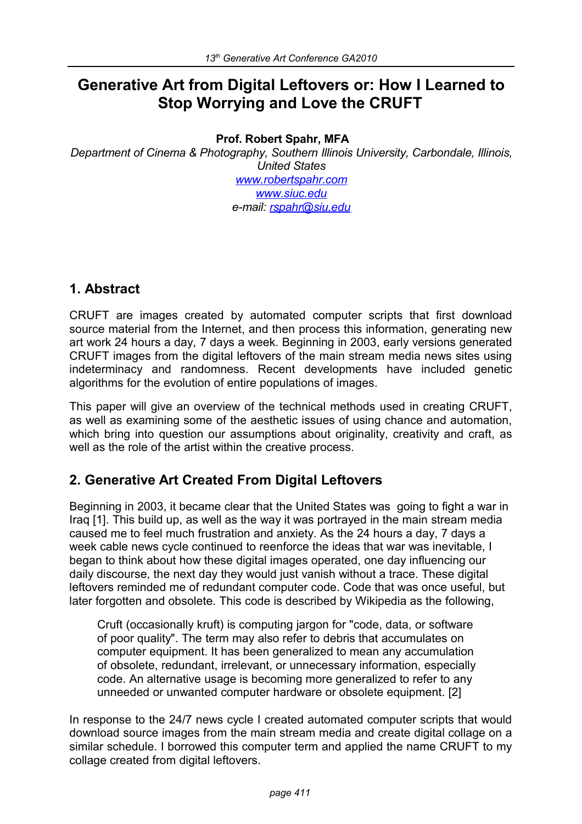# **Generative Art from Digital Leftovers or: How I Learned to Stop Worrying and Love the CRUFT**

## **Prof. Robert Spahr, MFA**

*Department of Cinema & Photography, Southern Illinois University, Carbondale, Illinois, United States [www.robertspahr.com](http://www.robertspahr.com/)  [www.siuc.edu](http://www.siuc.edu/)  e-mail: [rspahr@siu.edu](mailto:rspahr@siu.edu)* 

# **1. Abstract**

CRUFT are images created by automated computer scripts that first download source material from the Internet, and then process this information, generating new art work 24 hours a day, 7 days a week. Beginning in 2003, early versions generated CRUFT images from the digital leftovers of the main stream media news sites using indeterminacy and randomness. Recent developments have included genetic algorithms for the evolution of entire populations of images.

This paper will give an overview of the technical methods used in creating CRUFT, as well as examining some of the aesthetic issues of using chance and automation, which bring into question our assumptions about originality, creativity and craft, as well as the role of the artist within the creative process.

# **2. Generative Art Created From Digital Leftovers**

Beginning in 2003, it became clear that the United States was going to fight a war in Iraq [1]. This build up, as well as the way it was portrayed in the main stream media caused me to feel much frustration and anxiety. As the 24 hours a day, 7 days a week cable news cycle continued to reenforce the ideas that war was inevitable, I began to think about how these digital images operated, one day influencing our daily discourse, the next day they would just vanish without a trace. These digital leftovers reminded me of redundant computer code. Code that was once useful, but later forgotten and obsolete. This code is described by Wikipedia as the following,

Cruft (occasionally kruft) is computing jargon for "code, data, or software of poor quality". The term may also refer to debris that accumulates on computer equipment. It has been generalized to mean any accumulation of obsolete, redundant, irrelevant, or unnecessary information, especially code. An alternative usage is becoming more generalized to refer to any unneeded or unwanted computer hardware or obsolete equipment. [2]

In response to the 24/7 news cycle I created automated computer scripts that would download source images from the main stream media and create digital collage on a similar schedule. I borrowed this computer term and applied the name CRUFT to my collage created from digital leftovers.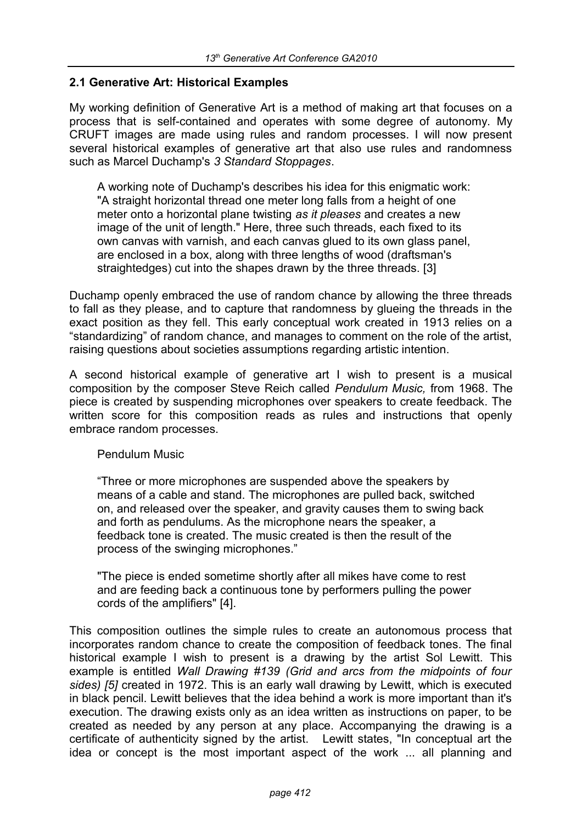#### **2.1 Generative Art: Historical Examples**

My working definition of Generative Art is a method of making art that focuses on a process that is self-contained and operates with some degree of autonomy. My CRUFT images are made using rules and random processes. I will now present several historical examples of generative art that also use rules and randomness such as Marcel Duchamp's *3 Standard Stoppages*.

A working note of Duchamp's describes his idea for this enigmatic work: "A straight horizontal thread one meter long falls from a height of one meter onto a horizontal plane twisting *as it pleases* and creates a new image of the unit of length." Here, three such threads, each fixed to its own canvas with varnish, and each canvas glued to its own glass panel, are enclosed in a box, along with three lengths of wood (draftsman's straightedges) cut into the shapes drawn by the three threads. [3]

Duchamp openly embraced the use of random chance by allowing the three threads to fall as they please, and to capture that randomness by glueing the threads in the exact position as they fell. This early conceptual work created in 1913 relies on a "standardizing" of random chance, and manages to comment on the role of the artist, raising questions about societies assumptions regarding artistic intention.

A second historical example of generative art I wish to present is a musical composition by the composer Steve Reich called *Pendulum Music,* from 1968. The piece is created by suspending microphones over speakers to create feedback. The written score for this composition reads as rules and instructions that openly embrace random processes.

Pendulum Music

"Three or more microphones are suspended above the speakers by means of a cable and stand. The microphones are pulled back, switched on, and released over the speaker, and gravity causes them to swing back and forth as pendulums. As the microphone nears the speaker, a feedback tone is created. The music created is then the result of the process of the swinging microphones."

"The piece is ended sometime shortly after all mikes have come to rest and are feeding back a continuous tone by performers pulling the power cords of the amplifiers" [4].

This composition outlines the simple rules to create an autonomous process that incorporates random chance to create the composition of feedback tones. The final historical example I wish to present is a drawing by the artist Sol Lewitt. This example is entitled *Wall Drawing #139 (Grid and arcs from the midpoints of four sides) [5]* created in 1972. This is an early wall drawing by Lewitt, which is executed in black pencil. Lewitt believes that the idea behind a work is more important than it's execution. The drawing exists only as an idea written as instructions on paper, to be created as needed by any person at any place. Accompanying the drawing is a certificate of authenticity signed by the artist. Lewitt states, "In conceptual art the idea or concept is the most important aspect of the work ... all planning and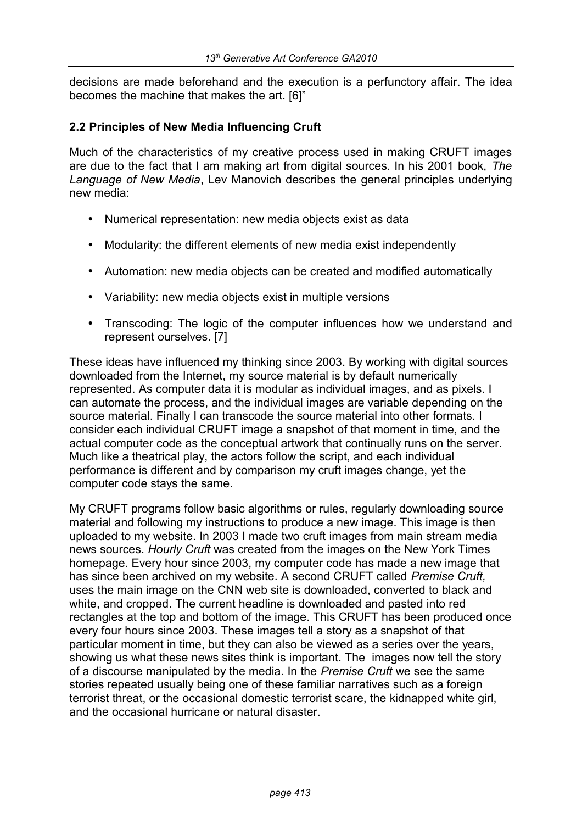decisions are made beforehand and the execution is a perfunctory affair. The idea becomes the machine that makes the art. [6]"

#### **2.2 Principles of New Media Influencing Cruft**

Much of the characteristics of my creative process used in making CRUFT images are due to the fact that I am making art from digital sources. In his 2001 book, *The Language of New Media*, Lev Manovich describes the general principles underlying new media:

- Numerical representation: new media objects exist as data
- Modularity: the different elements of new media exist independently
- Automation: new media objects can be created and modified automatically
- Variability: new media objects exist in multiple versions
- Transcoding: The logic of the computer influences how we understand and represent ourselves. [7]

These ideas have influenced my thinking since 2003. By working with digital sources downloaded from the Internet, my source material is by default numerically represented. As computer data it is modular as individual images, and as pixels. I can automate the process, and the individual images are variable depending on the source material. Finally I can transcode the source material into other formats. I consider each individual CRUFT image a snapshot of that moment in time, and the actual computer code as the conceptual artwork that continually runs on the server. Much like a theatrical play, the actors follow the script, and each individual performance is different and by comparison my cruft images change, yet the computer code stays the same.

My CRUFT programs follow basic algorithms or rules, regularly downloading source material and following my instructions to produce a new image. This image is then uploaded to my website. In 2003 I made two cruft images from main stream media news sources. *Hourly Cruft* was created from the images on the New York Times homepage. Every hour since 2003, my computer code has made a new image that has since been archived on my website. A second CRUFT called *Premise Cruft,*  uses the main image on the CNN web site is downloaded, converted to black and white, and cropped. The current headline is downloaded and pasted into red rectangles at the top and bottom of the image. This CRUFT has been produced once every four hours since 2003. These images tell a story as a snapshot of that particular moment in time, but they can also be viewed as a series over the years, showing us what these news sites think is important. The images now tell the story of a discourse manipulated by the media. In the *Premise Cruft* we see the same stories repeated usually being one of these familiar narratives such as a foreign terrorist threat, or the occasional domestic terrorist scare, the kidnapped white girl, and the occasional hurricane or natural disaster.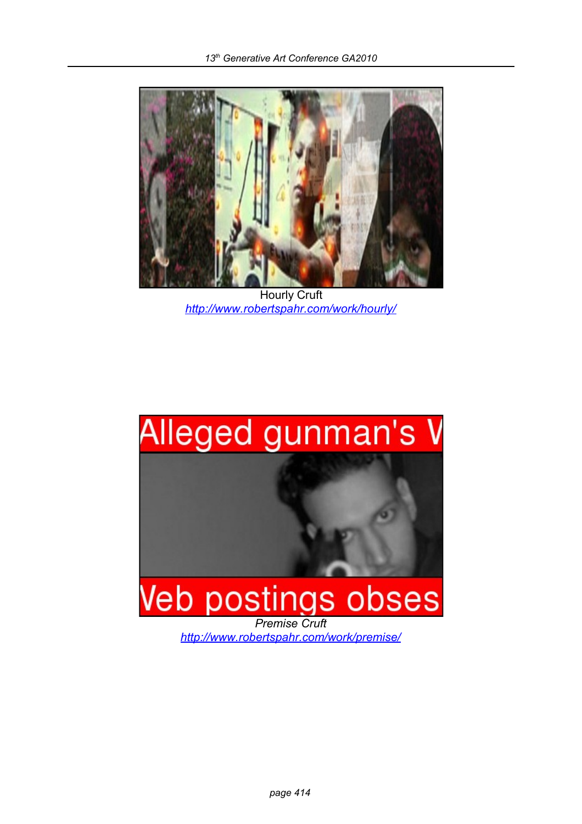

Hourly Cruft *<http://www.robertspahr.com/work/hourly/>*

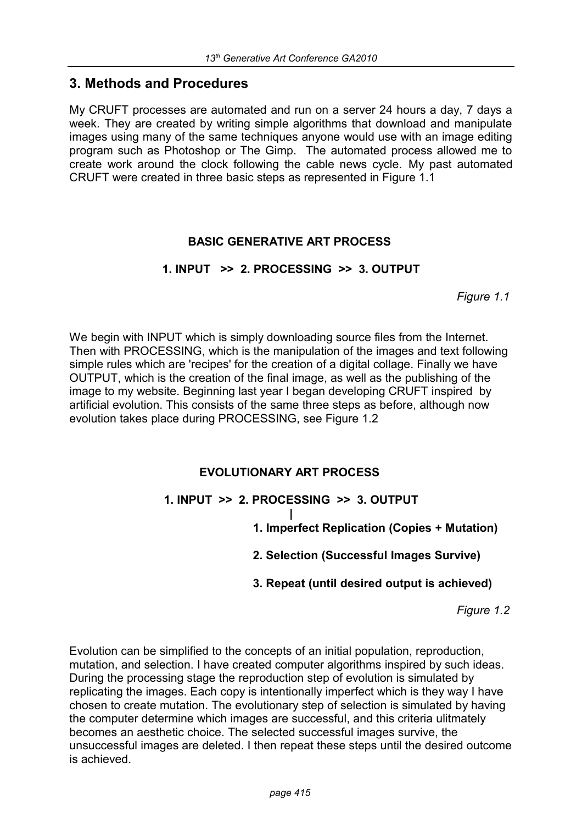## **3. Methods and Procedures**

My CRUFT processes are automated and run on a server 24 hours a day, 7 days a week. They are created by writing simple algorithms that download and manipulate images using many of the same techniques anyone would use with an image editing program such as Photoshop or The Gimp. The automated process allowed me to create work around the clock following the cable news cycle. My past automated CRUFT were created in three basic steps as represented in Figure 1.1

### **BASIC GENERATIVE ART PROCESS**

### **1. INPUT >> 2. PROCESSING >> 3. OUTPUT**

*Figure 1.1*

We begin with INPUT which is simply downloading source files from the Internet. Then with PROCESSING, which is the manipulation of the images and text following simple rules which are 'recipes' for the creation of a digital collage. Finally we have OUTPUT, which is the creation of the final image, as well as the publishing of the image to my website. Beginning last year I began developing CRUFT inspired by artificial evolution. This consists of the same three steps as before, although now evolution takes place during PROCESSING, see Figure 1.2

## **EVOLUTIONARY ART PROCESS**

## **1. INPUT >> 2. PROCESSING >> 3. OUTPUT**

**|**

**1. Imperfect Replication (Copies + Mutation)**

 **2. Selection (Successful Images Survive)**

 **3. Repeat (until desired output is achieved)**

*Figure 1.2*

Evolution can be simplified to the concepts of an initial population, reproduction, mutation, and selection. I have created computer algorithms inspired by such ideas. During the processing stage the reproduction step of evolution is simulated by replicating the images. Each copy is intentionally imperfect which is they way I have chosen to create mutation. The evolutionary step of selection is simulated by having the computer determine which images are successful, and this criteria ulitmately becomes an aesthetic choice. The selected successful images survive, the unsuccessful images are deleted. I then repeat these steps until the desired outcome is achieved.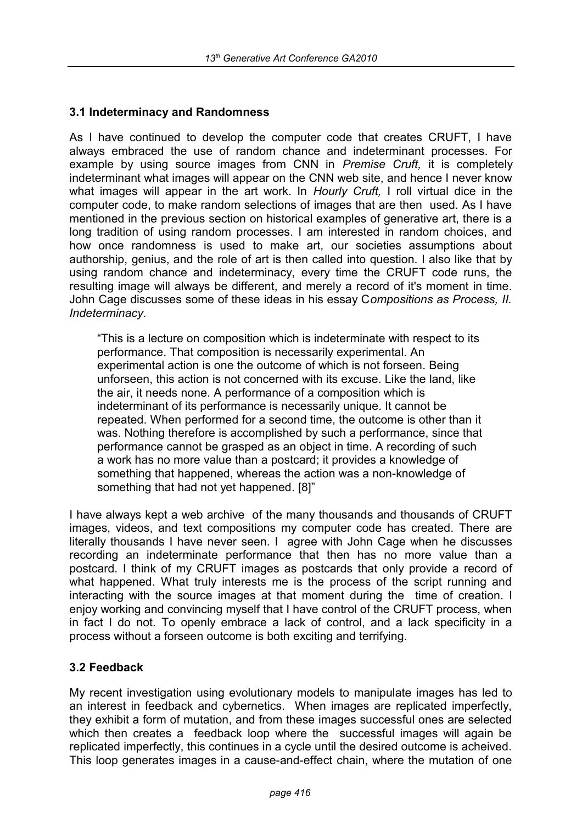### **3.1 Indeterminacy and Randomness**

As I have continued to develop the computer code that creates CRUFT, I have always embraced the use of random chance and indeterminant processes. For example by using source images from CNN in *Premise Cruft,* it is completely indeterminant what images will appear on the CNN web site, and hence I never know what images will appear in the art work. In *Hourly Cruft,* I roll virtual dice in the computer code, to make random selections of images that are then used. As I have mentioned in the previous section on historical examples of generative art, there is a long tradition of using random processes. I am interested in random choices, and how once randomness is used to make art, our societies assumptions about authorship, genius, and the role of art is then called into question. I also like that by using random chance and indeterminacy, every time the CRUFT code runs, the resulting image will always be different, and merely a record of it's moment in time. John Cage discusses some of these ideas in his essay C*ompositions as Process, II. Indeterminacy.* 

"This is a lecture on composition which is indeterminate with respect to its performance. That composition is necessarily experimental. An experimental action is one the outcome of which is not forseen. Being unforseen, this action is not concerned with its excuse. Like the land, like the air, it needs none. A performance of a composition which is indeterminant of its performance is necessarily unique. It cannot be repeated. When performed for a second time, the outcome is other than it was. Nothing therefore is accomplished by such a performance, since that performance cannot be grasped as an object in time. A recording of such a work has no more value than a postcard; it provides a knowledge of something that happened, whereas the action was a non-knowledge of something that had not yet happened. [8]"

I have always kept a web archive of the many thousands and thousands of CRUFT images, videos, and text compositions my computer code has created. There are literally thousands I have never seen. I agree with John Cage when he discusses recording an indeterminate performance that then has no more value than a postcard. I think of my CRUFT images as postcards that only provide a record of what happened. What truly interests me is the process of the script running and interacting with the source images at that moment during the time of creation. I enjoy working and convincing myself that I have control of the CRUFT process, when in fact I do not. To openly embrace a lack of control, and a lack specificity in a process without a forseen outcome is both exciting and terrifying.

#### **3.2 Feedback**

My recent investigation using evolutionary models to manipulate images has led to an interest in feedback and cybernetics. When images are replicated imperfectly, they exhibit a form of mutation, and from these images successful ones are selected which then creates a feedback loop where the successful images will again be replicated imperfectly, this continues in a cycle until the desired outcome is acheived. This loop generates images in a cause-and-effect chain, where the mutation of one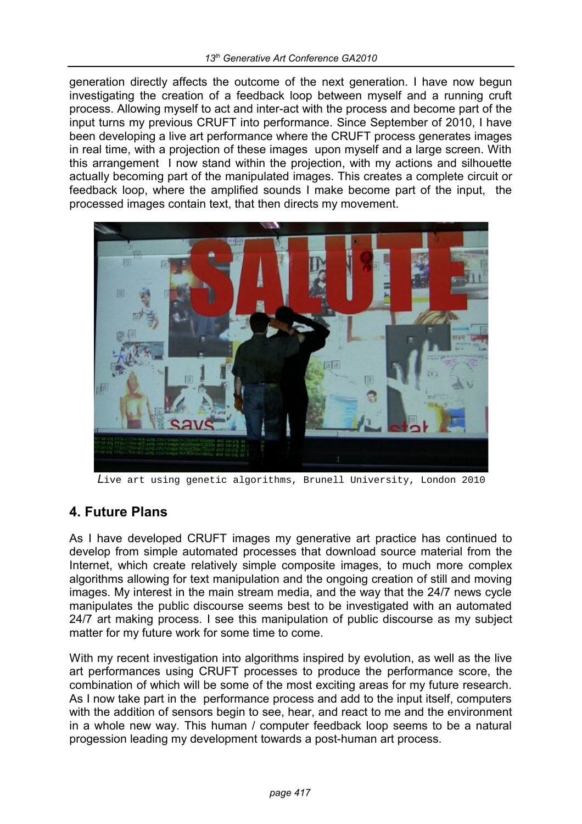generation directly affects the outcome of the next generation. I have now begun investigating the creation of a feedback loop between myself and a running cruft process. Allowing myself to act and inter-act with the process and become part of the input turns my previous CRUFT into performance. Since September of 2010, I have been developing a live art performance where the CRUFT process generates images in real time, with a projection of these images upon myself and a large screen. With this arrangement I now stand within the projection, with my actions and silhouette actually becoming part of the manipulated images. This creates a complete circuit or feedback loop, where the amplified sounds I make become part of the input, the processed images contain text, that then directs my movement.



*L*ive art using genetic algorithms, Brunell University, London 2010

## **4. Future Plans**

As I have developed CRUFT images my generative art practice has continued to develop from simple automated processes that download source material from the Internet, which create relatively simple composite images, to much more complex algorithms allowing for text manipulation and the ongoing creation of still and moving images. My interest in the main stream media, and the way that the 24/7 news cycle manipulates the public discourse seems best to be investigated with an automated 24/7 art making process. I see this manipulation of public discourse as my subject matter for my future work for some time to come.

With my recent investigation into algorithms inspired by evolution, as well as the live art performances using CRUFT processes to produce the performance score, the combination of which will be some of the most exciting areas for my future research. As I now take part in the performance process and add to the input itself, computers with the addition of sensors begin to see, hear, and react to me and the environment in a whole new way. This human / computer feedback loop seems to be a natural progession leading my development towards a post-human art process.